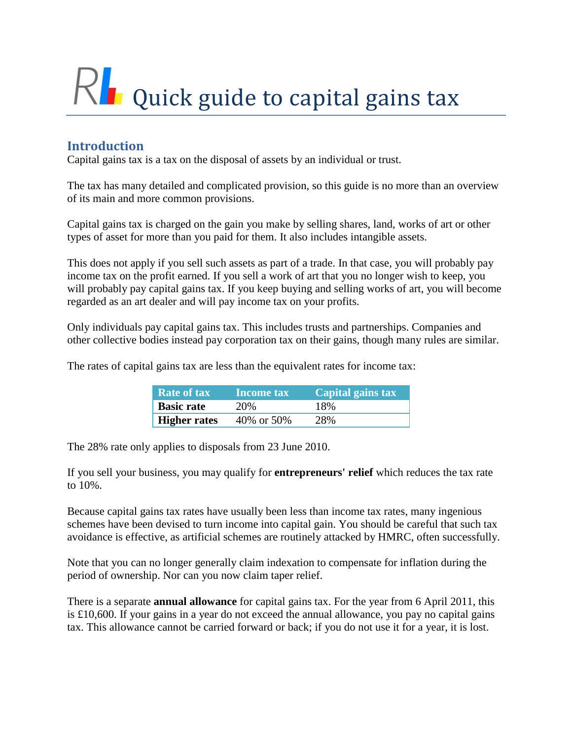# Rl Quick guide to capital gains tax

# **Introduction**

Capital gains tax is a tax on the disposal of assets by an individual or trust.

The tax has many detailed and complicated provision, so this guide is no more than an overview of its main and more common provisions.

Capital gains tax is charged on the gain you make by selling shares, land, works of art or other types of asset for more than you paid for them. It also includes intangible assets.

This does not apply if you sell such assets as part of a trade. In that case, you will probably pay income tax on the profit earned. If you sell a work of art that you no longer wish to keep, you will probably pay capital gains tax. If you keep buying and selling works of art, you will become regarded as an art dealer and will pay income tax on your profits.

Only individuals pay capital gains tax. This includes trusts and partnerships. Companies and other collective bodies instead pay corporation tax on their gains, though many rules are similar.

The rates of capital gains tax are less than the equivalent rates for income tax:

| <b>Rate of tax</b>  | <b>Income tax</b> | Capital gains tax |
|---------------------|-------------------|-------------------|
| <b>Basic rate</b>   | 20%               | 18%               |
| <b>Higher rates</b> | 40\% or 50\%      | 28%               |

The 28% rate only applies to disposals from 23 June 2010.

If you sell your business, you may qualify for **entrepreneurs' relief** which reduces the tax rate to 10%.

Because capital gains tax rates have usually been less than income tax rates, many ingenious schemes have been devised to turn income into capital gain. You should be careful that such tax avoidance is effective, as artificial schemes are routinely attacked by HMRC, often successfully.

Note that you can no longer generally claim indexation to compensate for inflation during the period of ownership. Nor can you now claim taper relief.

There is a separate **annual allowance** for capital gains tax. For the year from 6 April 2011, this is £10,600. If your gains in a year do not exceed the annual allowance, you pay no capital gains tax. This allowance cannot be carried forward or back; if you do not use it for a year, it is lost.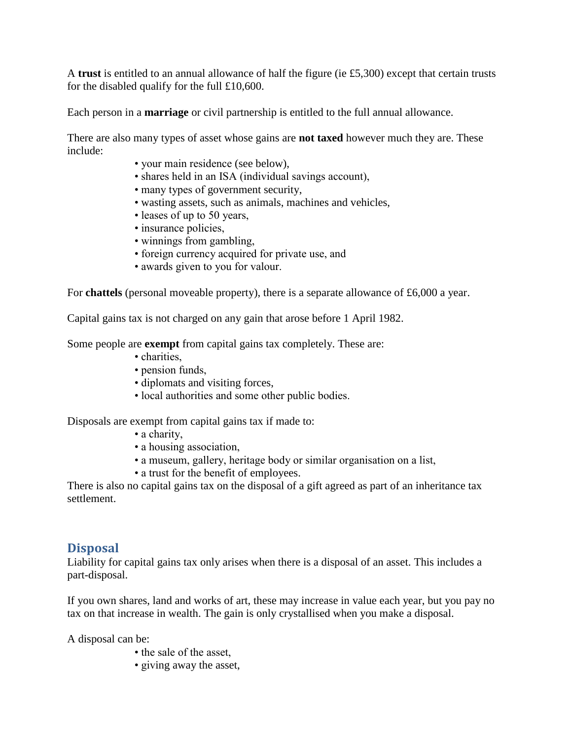A **trust** is entitled to an annual allowance of half the figure (ie £5,300) except that certain trusts for the disabled qualify for the full £10,600.

Each person in a **marriage** or civil partnership is entitled to the full annual allowance.

There are also many types of asset whose gains are **not taxed** however much they are. These include:

- your main residence (see below),
- shares held in an ISA (individual savings account),
- many types of government security,
- wasting assets, such as animals, machines and vehicles,
- leases of up to 50 years,
- insurance policies,
- winnings from gambling,
- foreign currency acquired for private use, and
- awards given to you for valour.

For **chattels** (personal moveable property), there is a separate allowance of £6,000 a year.

Capital gains tax is not charged on any gain that arose before 1 April 1982.

Some people are **exempt** from capital gains tax completely. These are:

- charities.
- pension funds,
- diplomats and visiting forces,
- local authorities and some other public bodies.

Disposals are exempt from capital gains tax if made to:

- a charity,
- a housing association,
- a museum, gallery, heritage body or similar organisation on a list,
- a trust for the benefit of employees.

There is also no capital gains tax on the disposal of a gift agreed as part of an inheritance tax settlement.

# **Disposal**

Liability for capital gains tax only arises when there is a disposal of an asset. This includes a part-disposal.

If you own shares, land and works of art, these may increase in value each year, but you pay no tax on that increase in wealth. The gain is only crystallised when you make a disposal.

A disposal can be:

- the sale of the asset,
- giving away the asset,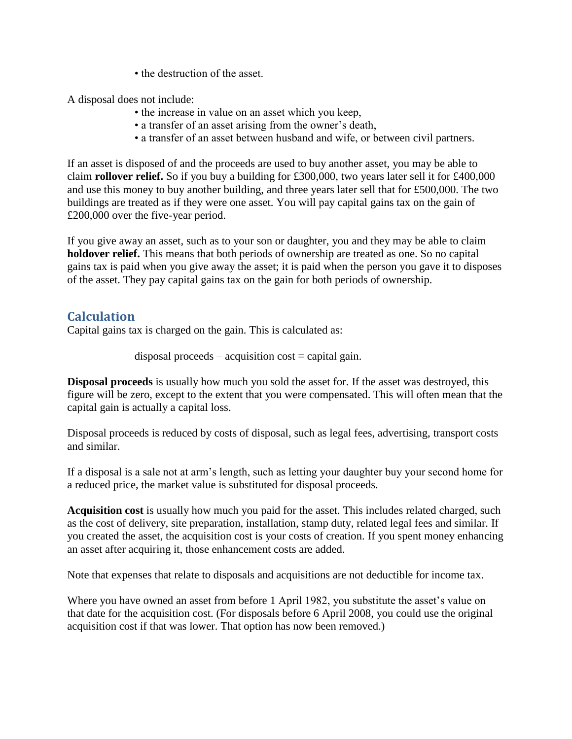• the destruction of the asset.

A disposal does not include:

- the increase in value on an asset which you keep,
- a transfer of an asset arising from the owner's death,
- a transfer of an asset between husband and wife, or between civil partners.

If an asset is disposed of and the proceeds are used to buy another asset, you may be able to claim **rollover relief.** So if you buy a building for £300,000, two years later sell it for £400,000 and use this money to buy another building, and three years later sell that for £500,000. The two buildings are treated as if they were one asset. You will pay capital gains tax on the gain of £200,000 over the five-year period.

If you give away an asset, such as to your son or daughter, you and they may be able to claim **holdover relief.** This means that both periods of ownership are treated as one. So no capital gains tax is paid when you give away the asset; it is paid when the person you gave it to disposes of the asset. They pay capital gains tax on the gain for both periods of ownership.

#### **Calculation**

Capital gains tax is charged on the gain. This is calculated as:

 $disposal proceeds - acquisition cost = capital gain.$ 

**Disposal proceeds** is usually how much you sold the asset for. If the asset was destroyed, this figure will be zero, except to the extent that you were compensated. This will often mean that the capital gain is actually a capital loss.

Disposal proceeds is reduced by costs of disposal, such as legal fees, advertising, transport costs and similar.

If a disposal is a sale not at arm's length, such as letting your daughter buy your second home for a reduced price, the market value is substituted for disposal proceeds.

**Acquisition cost** is usually how much you paid for the asset. This includes related charged, such as the cost of delivery, site preparation, installation, stamp duty, related legal fees and similar. If you created the asset, the acquisition cost is your costs of creation. If you spent money enhancing an asset after acquiring it, those enhancement costs are added.

Note that expenses that relate to disposals and acquisitions are not deductible for income tax.

Where you have owned an asset from before 1 April 1982, you substitute the asset's value on that date for the acquisition cost. (For disposals before 6 April 2008, you could use the original acquisition cost if that was lower. That option has now been removed.)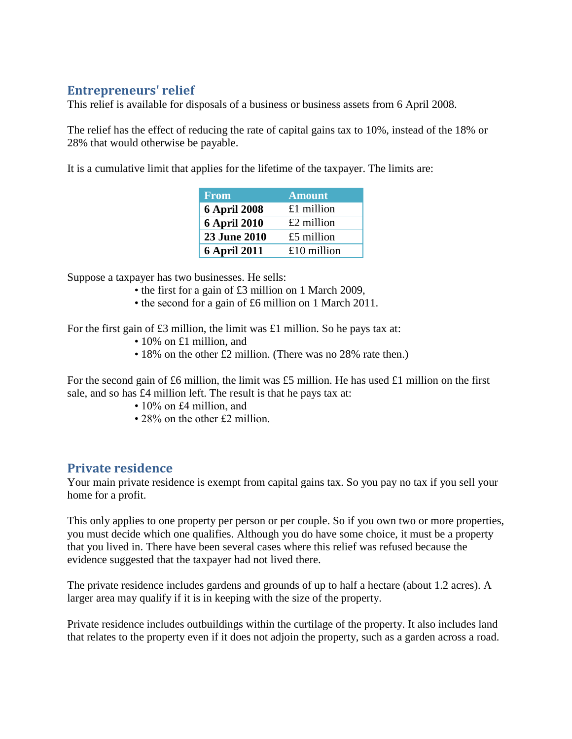# **Entrepreneurs' relief**

This relief is available for disposals of a business or business assets from 6 April 2008.

The relief has the effect of reducing the rate of capital gains tax to 10%, instead of the 18% or 28% that would otherwise be payable.

It is a cumulative limit that applies for the lifetime of the taxpayer. The limits are:

| <b>From</b>         | <b>Amount</b> |
|---------------------|---------------|
| <b>6 April 2008</b> | $£1$ million  |
| <b>6 April 2010</b> | $£2$ million  |
| 23 June 2010        | $£5$ million  |
| <b>6 April 2011</b> | £10 million   |

Suppose a taxpayer has two businesses. He sells:

- the first for a gain of £3 million on 1 March 2009,
- the second for a gain of £6 million on 1 March 2011.

For the first gain of  $\pounds 3$  million, the limit was  $\pounds 1$  million. So he pays tax at:

- 10% on £1 million, and
- 18% on the other £2 million. (There was no 28% rate then.)

For the second gain of £6 million, the limit was £5 million. He has used £1 million on the first sale, and so has £4 million left. The result is that he pays tax at:

- 10% on £4 million, and
- 28% on the other £2 million.

#### **Private residence**

Your main private residence is exempt from capital gains tax. So you pay no tax if you sell your home for a profit.

This only applies to one property per person or per couple. So if you own two or more properties, you must decide which one qualifies. Although you do have some choice, it must be a property that you lived in. There have been several cases where this relief was refused because the evidence suggested that the taxpayer had not lived there.

The private residence includes gardens and grounds of up to half a hectare (about 1.2 acres). A larger area may qualify if it is in keeping with the size of the property.

Private residence includes outbuildings within the curtilage of the property. It also includes land that relates to the property even if it does not adjoin the property, such as a garden across a road.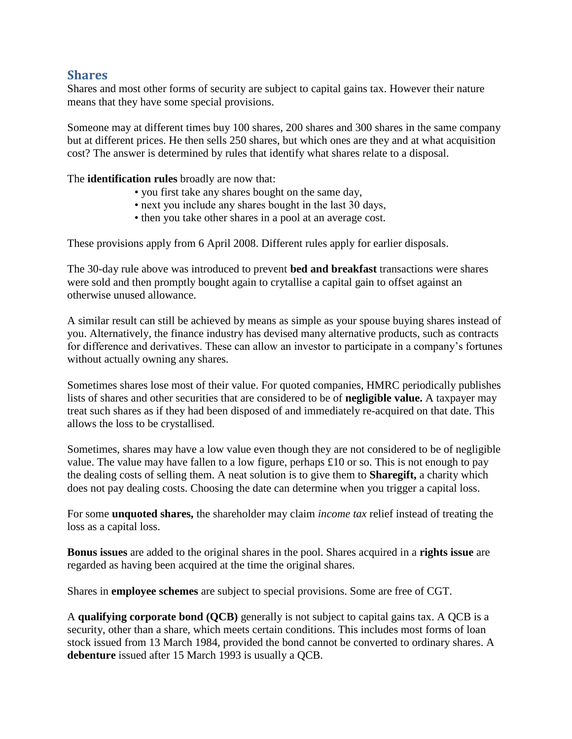#### **Shares**

Shares and most other forms of security are subject to capital gains tax. However their nature means that they have some special provisions.

Someone may at different times buy 100 shares, 200 shares and 300 shares in the same company but at different prices. He then sells 250 shares, but which ones are they and at what acquisition cost? The answer is determined by rules that identify what shares relate to a disposal.

The **identification rules** broadly are now that:

- you first take any shares bought on the same day,
- next you include any shares bought in the last 30 days,
- then you take other shares in a pool at an average cost.

These provisions apply from 6 April 2008. Different rules apply for earlier disposals.

The 30-day rule above was introduced to prevent **bed and breakfast** transactions were shares were sold and then promptly bought again to crytallise a capital gain to offset against an otherwise unused allowance.

A similar result can still be achieved by means as simple as your spouse buying shares instead of you. Alternatively, the finance industry has devised many alternative products, such as contracts for difference and derivatives. These can allow an investor to participate in a company's fortunes without actually owning any shares.

Sometimes shares lose most of their value. For quoted companies, HMRC periodically publishes lists of shares and other securities that are considered to be of **negligible value.** A taxpayer may treat such shares as if they had been disposed of and immediately re-acquired on that date. This allows the loss to be crystallised.

Sometimes, shares may have a low value even though they are not considered to be of negligible value. The value may have fallen to a low figure, perhaps £10 or so. This is not enough to pay the dealing costs of selling them. A neat solution is to give them to **Sharegift,** a charity which does not pay dealing costs. Choosing the date can determine when you trigger a capital loss.

For some **unquoted shares,** the shareholder may claim *income tax* relief instead of treating the loss as a capital loss.

**Bonus issues** are added to the original shares in the pool. Shares acquired in a **rights issue** are regarded as having been acquired at the time the original shares.

Shares in **employee schemes** are subject to special provisions. Some are free of CGT.

A **qualifying corporate bond (QCB)** generally is not subject to capital gains tax. A QCB is a security, other than a share, which meets certain conditions. This includes most forms of loan stock issued from 13 March 1984, provided the bond cannot be converted to ordinary shares. A **debenture** issued after 15 March 1993 is usually a QCB.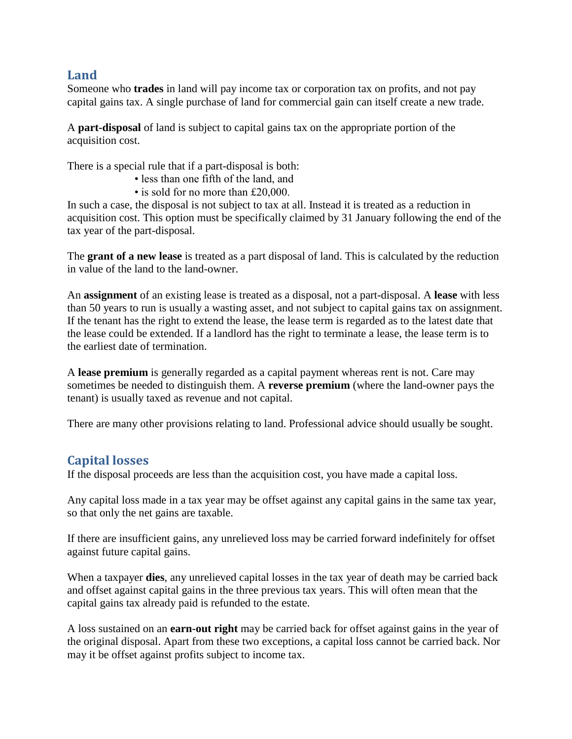#### **Land**

Someone who **trades** in land will pay income tax or corporation tax on profits, and not pay capital gains tax. A single purchase of land for commercial gain can itself create a new trade.

A **part-disposal** of land is subject to capital gains tax on the appropriate portion of the acquisition cost.

There is a special rule that if a part-disposal is both:

- less than one fifth of the land, and
- is sold for no more than £20,000.

In such a case, the disposal is not subject to tax at all. Instead it is treated as a reduction in acquisition cost. This option must be specifically claimed by 31 January following the end of the tax year of the part-disposal.

The **grant of a new lease** is treated as a part disposal of land. This is calculated by the reduction in value of the land to the land-owner.

An **assignment** of an existing lease is treated as a disposal, not a part-disposal. A **lease** with less than 50 years to run is usually a wasting asset, and not subject to capital gains tax on assignment. If the tenant has the right to extend the lease, the lease term is regarded as to the latest date that the lease could be extended. If a landlord has the right to terminate a lease, the lease term is to the earliest date of termination.

A **lease premium** is generally regarded as a capital payment whereas rent is not. Care may sometimes be needed to distinguish them. A **reverse premium** (where the land-owner pays the tenant) is usually taxed as revenue and not capital.

There are many other provisions relating to land. Professional advice should usually be sought.

# **Capital losses**

If the disposal proceeds are less than the acquisition cost, you have made a capital loss.

Any capital loss made in a tax year may be offset against any capital gains in the same tax year, so that only the net gains are taxable.

If there are insufficient gains, any unrelieved loss may be carried forward indefinitely for offset against future capital gains.

When a taxpayer **dies**, any unrelieved capital losses in the tax year of death may be carried back and offset against capital gains in the three previous tax years. This will often mean that the capital gains tax already paid is refunded to the estate.

A loss sustained on an **earn-out right** may be carried back for offset against gains in the year of the original disposal. Apart from these two exceptions, a capital loss cannot be carried back. Nor may it be offset against profits subject to income tax.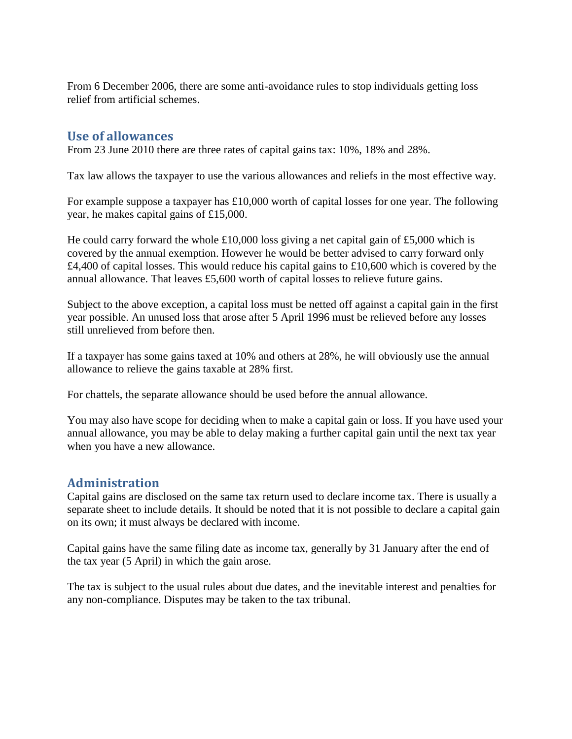From 6 December 2006, there are some anti-avoidance rules to stop individuals getting loss relief from artificial schemes.

#### **Use of allowances**

From 23 June 2010 there are three rates of capital gains tax: 10%, 18% and 28%.

Tax law allows the taxpayer to use the various allowances and reliefs in the most effective way.

For example suppose a taxpayer has £10,000 worth of capital losses for one year. The following year, he makes capital gains of £15,000.

He could carry forward the whole £10,000 loss giving a net capital gain of £5,000 which is covered by the annual exemption. However he would be better advised to carry forward only  $£4,400$  of capital losses. This would reduce his capital gains to £10,600 which is covered by the annual allowance. That leaves £5,600 worth of capital losses to relieve future gains.

Subject to the above exception, a capital loss must be netted off against a capital gain in the first year possible. An unused loss that arose after 5 April 1996 must be relieved before any losses still unrelieved from before then.

If a taxpayer has some gains taxed at 10% and others at 28%, he will obviously use the annual allowance to relieve the gains taxable at 28% first.

For chattels, the separate allowance should be used before the annual allowance.

You may also have scope for deciding when to make a capital gain or loss. If you have used your annual allowance, you may be able to delay making a further capital gain until the next tax year when you have a new allowance.

# **Administration**

Capital gains are disclosed on the same tax return used to declare income tax. There is usually a separate sheet to include details. It should be noted that it is not possible to declare a capital gain on its own; it must always be declared with income.

Capital gains have the same filing date as income tax, generally by 31 January after the end of the tax year (5 April) in which the gain arose.

The tax is subject to the usual rules about due dates, and the inevitable interest and penalties for any non-compliance. Disputes may be taken to the tax tribunal.